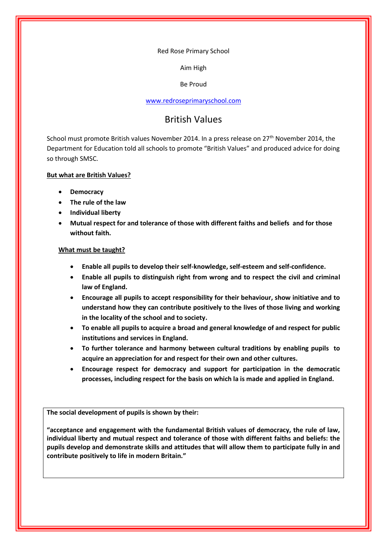Red Rose Primary School

Aim High

Be Proud

[www.redroseprimaryschool.com](http://www.redroseprimaryschool.com/)

# British Values

School must promote British values November 2014. In a press release on 27<sup>th</sup> November 2014, the Department for Education told all schools to promote "British Values" and produced advice for doing so through SMSC.

## **But what are British Values?**

- **Democracy**
- **The rule of the law**
- **Individual liberty**
- **Mutual respect for and tolerance of those with different faiths and beliefs and for those without faith.**

## **What must be taught?**

- **Enable all pupils to develop their self-knowledge, self-esteem and self-confidence.**
- **Enable all pupils to distinguish right from wrong and to respect the civil and criminal law of England.**
- **Encourage all pupils to accept responsibility for their behaviour, show initiative and to understand how they can contribute positively to the lives of those living and working in the locality of the school and to society.**
- **To enable all pupils to acquire a broad and general knowledge of and respect for public institutions and services in England.**
- **To further tolerance and harmony between cultural traditions by enabling pupils to acquire an appreciation for and respect for their own and other cultures.**
- **Encourage respect for democracy and support for participation in the democratic processes, including respect for the basis on which la is made and applied in England.**

**The social development of pupils is shown by their:**

**"acceptance and engagement with the fundamental British values of democracy, the rule of law, individual liberty and mutual respect and tolerance of those with different faiths and beliefs: the pupils develop and demonstrate skills and attitudes that will allow them to participate fully in and contribute positively to life in modern Britain."**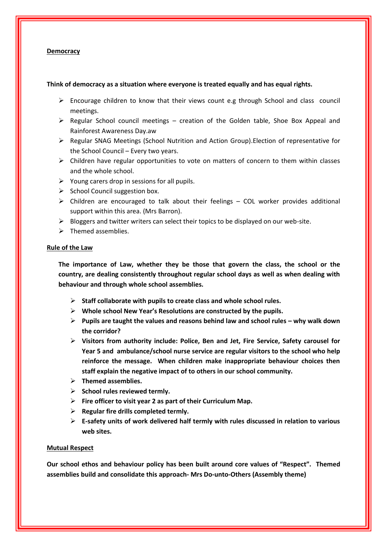### **Democracy**

#### **Think of democracy as a situation where everyone is treated equally and has equal rights.**

- $\triangleright$  Encourage children to know that their views count e.g through School and class council meetings.
- $\triangleright$  Regular School council meetings creation of the Golden table, Shoe Box Appeal and Rainforest Awareness Day.aw
- ➢ Regular SNAG Meetings (School Nutrition and Action Group).Election of representative for the School Council – Every two years.
- ➢ Children have regular opportunities to vote on matters of concern to them within classes and the whole school.
- $\triangleright$  Young carers drop in sessions for all pupils.
- $\triangleright$  School Council suggestion box.
- $\triangleright$  Children are encouraged to talk about their feelings COL worker provides additional support within this area. (Mrs Barron).
- ➢ Bloggers and twitter writers can select their topics to be displayed on our web-site.
- $\triangleright$  Themed assemblies.

#### **Rule of the Law**

**The importance of Law, whether they be those that govern the class, the school or the country, are dealing consistently throughout regular school days as well as when dealing with behaviour and through whole school assemblies.**

- ➢ **Staff collaborate with pupils to create class and whole school rules.**
- ➢ **Whole school New Year's Resolutions are constructed by the pupils.**
- ➢ **Pupils are taught the values and reasons behind law and school rules – why walk down the corridor?**
- ➢ **Visitors from authority include: Police, Ben and Jet, Fire Service, Safety carousel for Year 5 and ambulance/school nurse service are regular visitors to the school who help reinforce the message. When children make inappropriate behaviour choices then staff explain the negative impact of to others in our school community.**
- ➢ **Themed assemblies.**
- ➢ **School rules reviewed termly.**
- ➢ **Fire officer to visit year 2 as part of their Curriculum Map.**
- ➢ **Regular fire drills completed termly.**
- ➢ **E-safety units of work delivered half termly with rules discussed in relation to various web sites.**

#### **Mutual Respect**

**Our school ethos and behaviour policy has been built around core values of "Respect". Themed assemblies build and consolidate this approach- Mrs Do-unto-Others (Assembly theme)**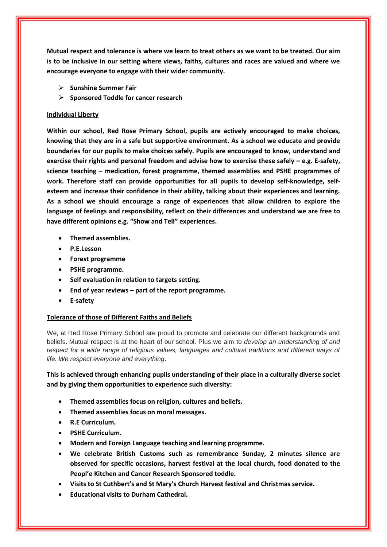**Mutual respect and tolerance is where we learn to treat others as we want to be treated. Our aim is to be inclusive in our setting where views, faiths, cultures and races are valued and where we encourage everyone to engage with their wider community.** 

- ➢ **Sunshine Summer Fair**
- ➢ **Sponsored Toddle for cancer research**

#### **Individual Liberty**

**Within our school, Red Rose Primary School, pupils are actively encouraged to make choices, knowing that they are in a safe but supportive environment. As a school we educate and provide boundaries for our pupils to make choices safely. Pupils are encouraged to know, understand and exercise their rights and personal freedom and advise how to exercise these safely – e.g. E-safety, science teaching – medication, forest programme, themed assemblies and PSHE programmes of work. Therefore staff can provide opportunities for all pupils to develop self-knowledge, selfesteem and increase their confidence in their ability, talking about their experiences and learning. As a school we should encourage a range of experiences that allow children to explore the language of feelings and responsibility, reflect on their differences and understand we are free to have different opinions e.g. "Show and Tell" experiences.**

- **Themed assemblies.**
- **P.E.Lesson**
- **Forest programme**
- **PSHE programme.**
- **Self evaluation in relation to targets setting.**
- **End of year reviews – part of the report programme.**
- **E-safety**

### **Tolerance of those of Different Faiths and Beliefs**

We, at Red Rose Primary School are proud to promote and celebrate our different backgrounds and beliefs. Mutual respect is at the heart of our school. Plus we aim to *develop an understanding of and respect for a wide range of religious values, languages and cultural traditions and different ways of life. We respect everyone and everything*.

**This is achieved through enhancing pupils understanding of their place in a culturally diverse societ and by giving them opportunities to experience such diversity:**

- **Themed assemblies focus on religion, cultures and beliefs.**
- **Themed assemblies focus on moral messages.**
- **R.E Curriculum.**
- **PSHE Curriculum.**
- **Modern and Foreign Language teaching and learning programme.**
- **We celebrate British Customs such as remembrance Sunday, 2 minutes silence are observed for specific occasions, harvest festival at the local church, food donated to the Peopl'e Kitchen and Cancer Research Sponsored toddle.**
- **Visits to St Cuthbert's and St Mary's Church Harvest festival and Christmas service.**
- **Educational visits to Durham Cathedral.**